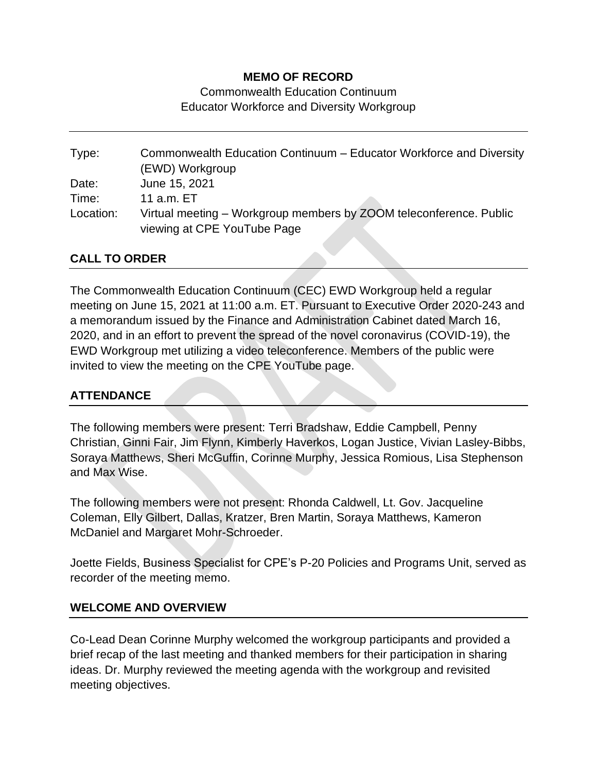### **MEMO OF RECORD**

Commonwealth Education Continuum Educator Workforce and Diversity Workgroup

Type: Commonwealth Education Continuum – Educator Workforce and Diversity (EWD) Workgroup Date: June 15, 2021 Time: 11 a.m. ET Location: Virtual meeting – Workgroup members by ZOOM teleconference. Public viewing at CPE YouTube Page

### **CALL TO ORDER**

The Commonwealth Education Continuum (CEC) EWD Workgroup held a regular meeting on June 15, 2021 at 11:00 a.m. ET. Pursuant to Executive Order 2020-243 and a memorandum issued by the Finance and Administration Cabinet dated March 16, 2020, and in an effort to prevent the spread of the novel coronavirus (COVID-19), the EWD Workgroup met utilizing a video teleconference. Members of the public were invited to view the meeting on the CPE YouTube page.

### **ATTENDANCE**

The following members were present: Terri Bradshaw, Eddie Campbell, Penny Christian, Ginni Fair, Jim Flynn, Kimberly Haverkos, Logan Justice, Vivian Lasley-Bibbs, Soraya Matthews, Sheri McGuffin, Corinne Murphy, Jessica Romious, Lisa Stephenson and Max Wise.

The following members were not present: Rhonda Caldwell, Lt. Gov. Jacqueline Coleman, Elly Gilbert, Dallas, Kratzer, Bren Martin, Soraya Matthews, Kameron McDaniel and Margaret Mohr-Schroeder.

Joette Fields, Business Specialist for CPE's P-20 Policies and Programs Unit, served as recorder of the meeting memo.

### **WELCOME AND OVERVIEW**

Co-Lead Dean Corinne Murphy welcomed the workgroup participants and provided a brief recap of the last meeting and thanked members for their participation in sharing ideas. Dr. Murphy reviewed the meeting agenda with the workgroup and revisited meeting objectives.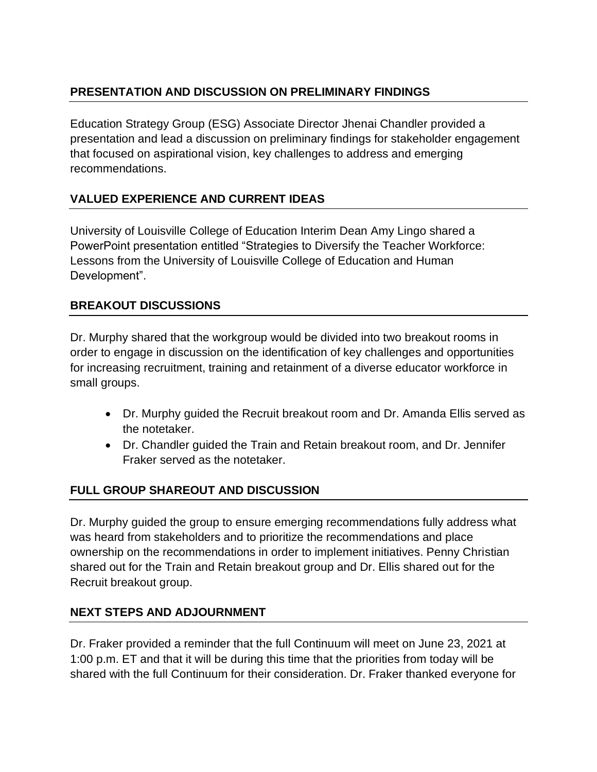## **PRESENTATION AND DISCUSSION ON PRELIMINARY FINDINGS**

Education Strategy Group (ESG) Associate Director Jhenai Chandler provided a presentation and lead a discussion on preliminary findings for stakeholder engagement that focused on aspirational vision, key challenges to address and emerging recommendations.

# **VALUED EXPERIENCE AND CURRENT IDEAS**

University of Louisville College of Education Interim Dean Amy Lingo shared a PowerPoint presentation entitled "Strategies to Diversify the Teacher Workforce: Lessons from the University of Louisville College of Education and Human Development".

### **BREAKOUT DISCUSSIONS**

Dr. Murphy shared that the workgroup would be divided into two breakout rooms in order to engage in discussion on the identification of key challenges and opportunities for increasing recruitment, training and retainment of a diverse educator workforce in small groups.

- Dr. Murphy guided the Recruit breakout room and Dr. Amanda Ellis served as the notetaker.
- Dr. Chandler guided the Train and Retain breakout room, and Dr. Jennifer Fraker served as the notetaker.

### **FULL GROUP SHAREOUT AND DISCUSSION**

Dr. Murphy guided the group to ensure emerging recommendations fully address what was heard from stakeholders and to prioritize the recommendations and place ownership on the recommendations in order to implement initiatives. Penny Christian shared out for the Train and Retain breakout group and Dr. Ellis shared out for the Recruit breakout group.

### **NEXT STEPS AND ADJOURNMENT**

Dr. Fraker provided a reminder that the full Continuum will meet on June 23, 2021 at 1:00 p.m. ET and that it will be during this time that the priorities from today will be shared with the full Continuum for their consideration. Dr. Fraker thanked everyone for